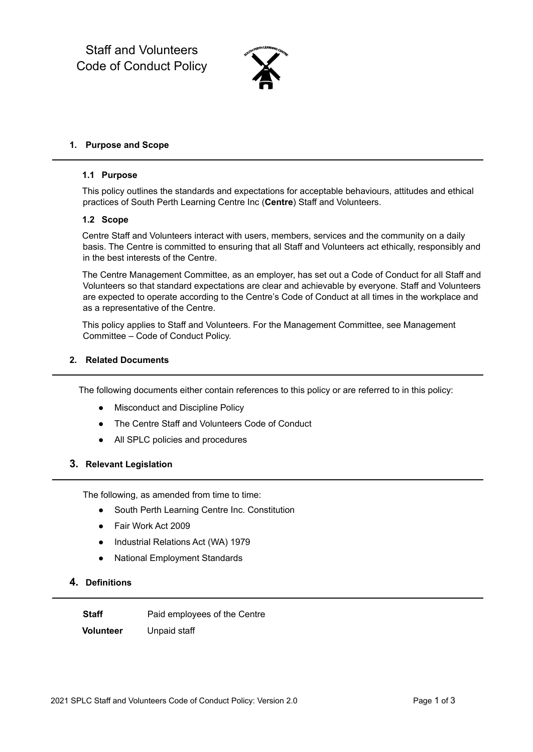Staff and Volunteers Code of Conduct Policy



#### **1. Purpose and Scope**

#### **1.1 Purpose**

This policy outlines the standards and expectations for acceptable behaviours, attitudes and ethical practices of South Perth Learning Centre Inc (**Centre**) Staff and Volunteers.

#### **1.2 Scope**

Centre Staff and Volunteers interact with users, members, services and the community on a daily basis. The Centre is committed to ensuring that all Staff and Volunteers act ethically, responsibly and in the best interests of the Centre.

The Centre Management Committee, as an employer, has set out a Code of Conduct for all Staff and Volunteers so that standard expectations are clear and achievable by everyone. Staff and Volunteers are expected to operate according to the Centre's Code of Conduct at all times in the workplace and as a representative of the Centre.

This policy applies to Staff and Volunteers. For the Management Committee, see Management Committee – Code of Conduct Policy.

## **2. Related Documents**

The following documents either contain references to this policy or are referred to in this policy:

- Misconduct and Discipline Policy
- The Centre Staff and Volunteers Code of Conduct
- All SPLC policies and procedures

## **3. Relevant Legislation**

The following, as amended from time to time:

- South Perth Learning Centre Inc. Constitution
- Fair Work Act 2009
- Industrial Relations Act (WA) 1979
- National Employment Standards

# **4. Definitions**

**Staff** Paid employees of the Centre **Volunteer** Unpaid staff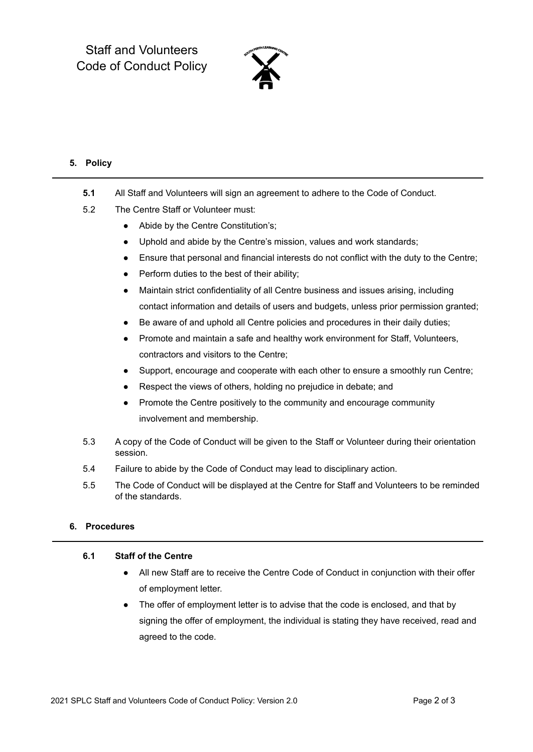Staff and Volunteers Code of Conduct Policy



# **5. Policy**

- **5.1** All Staff and Volunteers will sign an agreement to adhere to the Code of Conduct.
- 5.2 The Centre Staff or Volunteer must:
	- Abide by the Centre Constitution's;
	- Uphold and abide by the Centre's mission, values and work standards;
	- Ensure that personal and financial interests do not conflict with the duty to the Centre;
	- Perform duties to the best of their ability;
	- Maintain strict confidentiality of all Centre business and issues arising, including contact information and details of users and budgets, unless prior permission granted;
	- Be aware of and uphold all Centre policies and procedures in their daily duties;
	- Promote and maintain a safe and healthy work environment for Staff, Volunteers, contractors and visitors to the Centre;
	- Support, encourage and cooperate with each other to ensure a smoothly run Centre;
	- Respect the views of others, holding no prejudice in debate; and
	- Promote the Centre positively to the community and encourage community involvement and membership.
- 5.3 A copy of the Code of Conduct will be given to the Staff or Volunteer during their orientation session.
- 5.4 Failure to abide by the Code of Conduct may lead to disciplinary action.
- 5.5 The Code of Conduct will be displayed at the Centre for Staff and Volunteers to be reminded of the standards.

## **6. Procedures**

#### **6.1 Staff of the Centre**

- All new Staff are to receive the Centre Code of Conduct in conjunction with their offer of employment letter.
- The offer of employment letter is to advise that the code is enclosed, and that by signing the offer of employment, the individual is stating they have received, read and agreed to the code.